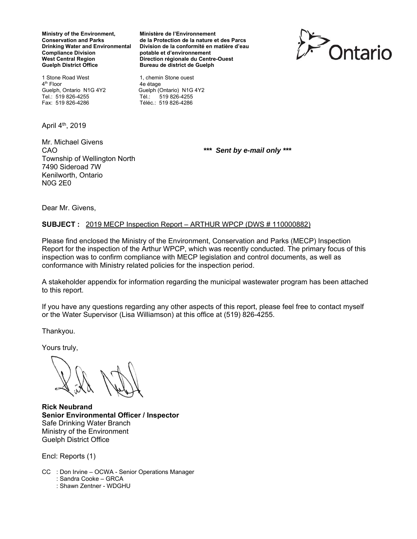**Ministry of the Environment, Ministère de l'Environnement Compliance Division and South Burge potable et d'environnement<br>
West Central Region de La Politica Direction régionale du Centre** Guelph District Office **Bureau de district de Guelph** 

1 Stone Road West 1, chemin Stone ouest 4<sup>th</sup> Floor 4e étage<br>Guelph, Ontario N1G 4Y2 Guelph (C Tel.: 519 826-4255 Tél.: 519 826-4255

April 4th, 2019

Mr. Michael Givens CAO *\*\*\* Sent by e-mail only \*\*\**  Township of Wellington North 7490 Sideroad 7W Kenilworth, Ontario N0G 2E0

**Conservation and Parks de la Protection de la nature et des Parcs Drinking Water and Environmental Division de la conformité en matière d'eau Direction régionale du Centre-Ouest** 



Guelph (Ontario) N1G 4Y2 Fax: 519 826-4286 Téléc.: 519 826-4286

Dear Mr. Givens,

# **SUBJECT :** 2019 MECP Inspection Report – ARTHUR WPCP (DWS # 110000882)

Please find enclosed the Ministry of the Environment, Conservation and Parks (MECP) Inspection Report for the inspection of the Arthur WPCP, which was recently conducted. The primary focus of this inspection was to confirm compliance with MECP legislation and control documents, as well as conformance with Ministry related policies for the inspection period.

A stakeholder appendix for information regarding the municipal wastewater program has been attached to this report.

If you have any questions regarding any other aspects of this report, please feel free to contact myself or the Water Supervisor (Lisa Williamson) at this office at (519) 826-4255.

Thankyou.

Yours truly,

**Rick Neubrand Senior Environmental Officer / Inspector**  Safe Drinking Water Branch Ministry of the Environment Guelph District Office

Encl: Reports (1)

- CC : Don Irvine OCWA Senior Operations Manager
	- : Sandra Cooke GRCA : Shawn Zentner - WDGHU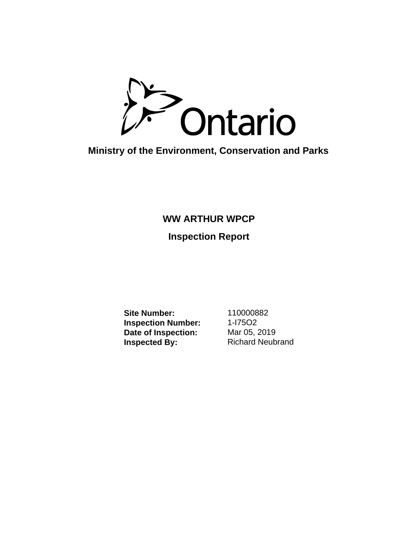

**Ministry of the Environment, Conservation and Parks**

# **WW ARTHUR WPCP**

# **Inspection Report**

**Site Number:** 110000882 **Inspection Number:** 1-I75O2<br>Date of Inspection: Mar 05, 2019 **Date of Inspection:**<br>Inspected By:

**Richard Neubrand**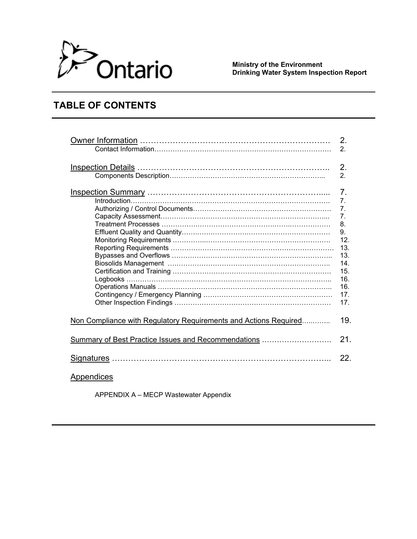

 **Ministry of the Environment Drinking Water System Inspection Report** 

# **TABLE OF CONTENTS**

|                                                                  | 2.               |
|------------------------------------------------------------------|------------------|
|                                                                  | 2.               |
|                                                                  | 2.<br>2.         |
|                                                                  | $\overline{7}$ . |
|                                                                  | 7 <sub>1</sub>   |
|                                                                  | 7.               |
|                                                                  | 7 <sub>1</sub>   |
|                                                                  | 8.               |
|                                                                  | 9.               |
|                                                                  | 12.              |
|                                                                  | 13.              |
|                                                                  | 13.<br>14.       |
|                                                                  | 15.              |
|                                                                  | 16.              |
|                                                                  | 16.              |
|                                                                  | 17.              |
|                                                                  | 17.              |
|                                                                  |                  |
| Non Compliance with Regulatory Requirements and Actions Required | 19.              |
| <b>Summary of Best Practice Issues and Recommendations </b>      | 21.              |
|                                                                  | 22.              |
| Appendices                                                       |                  |

APPENDIX A – MECP Wastewater Appendix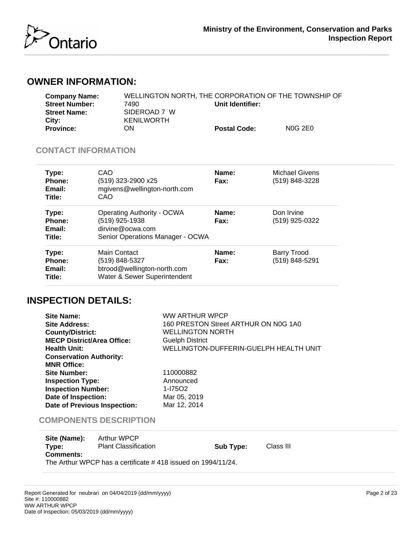

# **OWNER INFORMATION:**

| <b>Company Name:</b>  |                   | WELLINGTON NORTH. THE CORPORATION OF THE TOWNSHIP OF |                |
|-----------------------|-------------------|------------------------------------------------------|----------------|
| <b>Street Number:</b> | 7490.             | Unit Identifier:                                     |                |
| <b>Street Name:</b>   | SIDEROAD 7 W      |                                                      |                |
| City:                 | <b>KENILWORTH</b> |                                                      |                |
| <b>Province:</b>      | ON                | <b>Postal Code:</b>                                  | <b>NOG 2E0</b> |

# **CONTACT INFORMATION**

| Type:<br>Phone:<br>Email:<br>Title:        | CAO<br>(519) 323-2900 x25<br>mgivens@wellington-north.com<br>CAO                                            | Name:<br>Fax: | <b>Michael Givens</b><br>(519) 848-3228 |  |
|--------------------------------------------|-------------------------------------------------------------------------------------------------------------|---------------|-----------------------------------------|--|
| Type:<br><b>Phone:</b><br>Email:<br>Title: | <b>Operating Authority - OCWA</b><br>(519) 925-1938<br>dirvine@ocwa.com<br>Senior Operations Manager - OCWA | Name:<br>Fax: | Don Irvine<br>(519) 925-0322            |  |
| Type:<br>Phone:<br>Email:<br>Title:        | Main Contact<br>(519) 848-5327<br>btrood@wellington-north.com<br>Water & Sewer Superintendent               | Name:<br>Fax: | <b>Barry Trood</b><br>(519) 848-5291    |  |

# **INSPECTION DETAILS:**

| Site Name:<br><b>Site Address:</b><br><b>County/District:</b><br><b>MECP District/Area Office:</b><br><b>Health Unit:</b><br><b>Conservation Authority:</b>     | WW ARTHUR WPCP<br>160 PRESTON Street ARTHUR ON N0G 1A0<br><b>WELLINGTON NORTH</b><br><b>Guelph District</b><br>WELLINGTON-DUFFERIN-GUELPH HEALTH UNIT |
|-----------------------------------------------------------------------------------------------------------------------------------------------------------------|-------------------------------------------------------------------------------------------------------------------------------------------------------|
| <b>MNR Office:</b><br><b>Site Number:</b><br><b>Inspection Type:</b><br><b>Inspection Number:</b><br>Date of Inspection:<br><b>Date of Previous Inspection:</b> | 110000882<br>Announced<br>1-17502<br>Mar 05, 2019<br>Mar 12, 2014                                                                                     |

# **COMPONENTS DESCRIPTION**

| Site (Name):     | Arthur WPCP                                                  |           |           |  |  |
|------------------|--------------------------------------------------------------|-----------|-----------|--|--|
| Type:            | <b>Plant Classification</b>                                  | Sub Type: | Class III |  |  |
| <b>Comments:</b> |                                                              |           |           |  |  |
|                  | The Arthur WPCP has a certificate #418 issued on 1994/11/24. |           |           |  |  |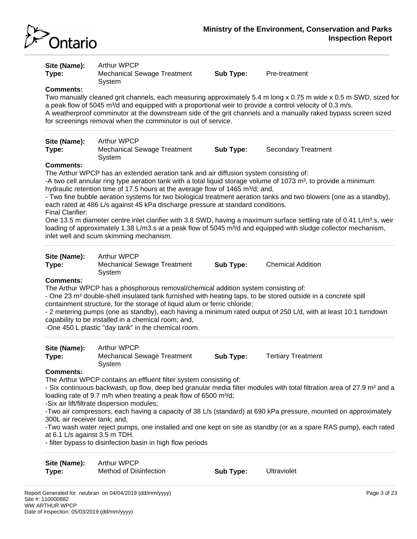

**Site (Name):** Arthur WPCP **Type:** Mechanical Sewage Treatment System **Sub Type:** Pre-treatment **Comments:** Two manually cleaned grit channels, each measuring approximately 5.4 m long x 0.75 m wide x 0.5 m SWD, sized for a peak flow of 5045 m $3/$ d and equipped with a proportional weir to provide a control velocity of 0.3 m/s. A weatherproof comminutor at the downstream side of the grit channels and a manually raked bypass screen sized for screenings removal when the comminutor is out of service. **Site (Name):** Arthur WPCP **Type:** Mechanical Sewage Treatment System **Sub Type:** Secondary Treatment **Comments:** The Arthur WPCP has an extended aeration tank and air diffusion system consisting of: -A two cell annular ring type aeration tank with a total liquid storage volume of 1073  $m^3$ , to provide a minimum hydraulic retention time of 17.5 hours at the average flow of 1465 m $\frac{3}{d}$ ; and, - Two fine bubble aeration systems for two biological treatment aeration tanks and two blowers (one as a standby), each rated at 486 L/s against 45 kPa discharge pressure at standard conditions. Final Clarifier: One 13.5 m diameter centre inlet clarifier with 3.8 SWD, having a maximum surface settling rate of 0.41 L/m<sup>3</sup>.s, weir loading of approximately 1.38 L/m3.s at a peak flow of 5045 m<sup>3</sup>/d and equipped with sludge collector mechanism, inlet well and scum skimming mechanism. **Site (Name):** Arthur WPCP **Type:** Mechanical Sewage Treatment System **Sub Type:** Chemical Addition **Comments:** The Arthur WPCP has a phosphorous removal/chemical addition system consisting of: - One 23 m<sup>3</sup> double-shell insulated tank furnished with heating taps, to be stored outside in a concrete spill containment structure, for the storage of liquid alum or ferric chloride; - 2 metering pumps (one as standby), each having a minimum rated output of 250 L/d, with at least 10:1 turndown

capability to be installed in a chemical room; and,

-One 450 L plastic "day tank" in the chemical room.

| Site (Name):<br>Type: | Arthur WPCP<br>Mechanical Sewage Treatment<br>Svstem | Sub Type: | <b>Tertiary Treatment</b> |
|-----------------------|------------------------------------------------------|-----------|---------------------------|
|                       |                                                      |           |                           |

# **Comments:**

The Arthur WPCP contains an effluent filter system consisting of:

- Six continuous backwash, up flow, deep bed granular media filter modules with total filtration area of 27.9 m² and a loading rate of 9.7 m/h when treating a peak flow of 6500 m $\frac{3}{d}$ ;

-Six air lift/filtrate dispersion modules;

-Two air compressors, each having a capacity of 38 L/s (standard) at 690 kPa pressure, mounted on approximately 300L air receiver tank; and,

-Two wash water reject pumps, one installed and one kept on site as standby (or as a spare RAS pump), each rated at 6.1 L/s against 3.5 m TDH.

- filter bypass to disinfection basin in high flow periods

| Site (Name): | Arthur WPCP            |           |             |
|--------------|------------------------|-----------|-------------|
| Type:        | Method of Disinfection | Sub Type: | Ultraviolet |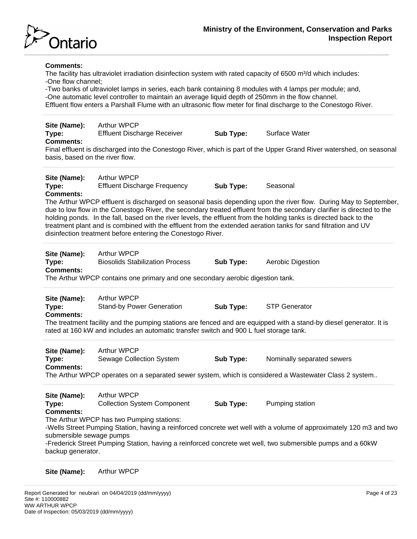

# **Comments:**

The facility has ultraviolet irradiation disinfection system with rated capacity of 6500 m<sup>3</sup>/d which includes: -One flow channel;

-Two banks of ultraviolet lamps in series, each bank containing 8 modules with 4 lamps per module; and, -One automatic level controller to maintain an average liquid depth of 250mm in the flow channel. Effluent flow enters a Parshall Flume with an ultrasonic flow meter for final discharge to the Conestogo River.

**Site (Name):** Arthur WPCP **Type:** Effluent Discharge Receiver **Sub Type:** Surface Water

# **Comments:**

Final effluent is discharged into the Conestogo River, which is part of the Upper Grand River watershed, on seasonal basis, based on the river flow.

**Site (Name):** Arthur WPCP **Type:** Effluent Discharge Frequency **Sub Type:** Seasonal **Comments:**

The Arthur WPCP effluent is discharged on seasonal basis depending upon the river flow. During May to September, due to low flow in the Conestogo River, the secondary treated effluent from the secondary clarifier is directed to the holding ponds. In the fall, based on the river levels, the effluent from the holding tanks is directed back to the treatment plant and is combined with the effluent from the extended aeration tanks for sand filtration and UV disinfection treatment before entering the Conestogo River.

| Site (Name):<br>Type: | <b>Arthur WPCP</b><br><b>Biosolids Stabilization Process</b>                   | Sub Type: | Aerobic Digestion |
|-----------------------|--------------------------------------------------------------------------------|-----------|-------------------|
| <b>Comments:</b>      |                                                                                |           |                   |
|                       | The Arthur WPCP contains one primary and one secondary aerobic digestion tank. |           |                   |

| Site (Name):     | <b>Arthur WPCP</b>               |           |                                                                                                                     |  |
|------------------|----------------------------------|-----------|---------------------------------------------------------------------------------------------------------------------|--|
| Type:            | <b>Stand-by Power Generation</b> | Sub Type: | <b>STP Generator</b>                                                                                                |  |
| <b>Comments:</b> |                                  |           |                                                                                                                     |  |
|                  |                                  |           | The treatment facility and the numping stations are fenced and are equipped with a stand by dissel generator. It is |  |

The treatment facility and the pumping stations are fenced and are equipped with a stand-by diesel generator. It is rated at 160 kW and includes an automatic transfer switch and 900 L fuel storage tank.

| Site (Name):     | Arthur WPCP                                                                                           |           |                            |
|------------------|-------------------------------------------------------------------------------------------------------|-----------|----------------------------|
| Type:            | Sewage Collection System                                                                              | Sub Type: | Nominally separated sewers |
| <b>Comments:</b> |                                                                                                       |           |                            |
|                  | The Arthur WPCP operates on a separated sewer system, which is considered a Wastewater Class 2 system |           |                            |

**Site (Name):** Arthur WPCP **Type:** Collection System Component **Sub Type:** Pumping station **Comments:** The Arthur WPCP has two Pumping stations: -Wells Street Pumping Station, having a reinforced concrete wet well with a volume of approximately 120 m3 and two submersible sewage pumps -Frederick Street Pumping Station, having a reinforced concrete wet well, two submersible pumps and a 60kW backup generator.

**Site (Name):** Arthur WPCP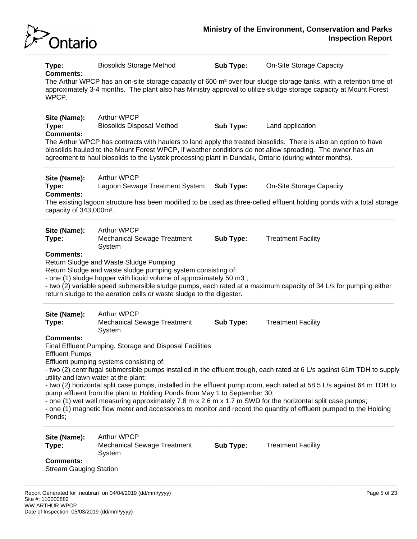

**Comments:** The Arthur WPCP has an on-site storage capacity of 600 m<sup>3</sup> over four sludge storage tanks, with a retention time of approximately 3-4 months. The plant also has Ministry approval to utilize sludge storage capacity at Mount Forest **WPCP Site (Name):** Arthur WPCP **Type:** Biosolids Disposal Method **Sub Type:** Land application **Comments:** The Arthur WPCP has contracts with haulers to land apply the treated biosolids. There is also an option to have biosolids hauled to the Mount Forest WPCP, if weather conditions do not allow spreading. The owner has an agreement to haul biosolids to the Lystek processing plant in Dundalk, Ontario (during winter months). **Site (Name):** Arthur WPCP **Type:** Lagoon Sewage Treatment System **Sub Type:** On-Site Storage Capacity **Comments:** The existing lagoon structure has been modified to be used as three-celled effluent holding ponds with a total storage capacity of 343,000m<sup>3</sup>. **Site (Name):** Arthur WPCP **Type:** Mechanical Sewage Treatment System **Sub Type:** Treatment Facility **Comments:** Return Sludge and Waste Sludge Pumping Return Sludge and waste sludge pumping system consisting of: - one (1) sludge hopper with liquid volume of approximately 50 m3 ; - two (2) variable speed submersible sludge pumps, each rated at a maximum capacity of 34 L/s for pumping either return sludge to the aeration cells or waste sludge to the digester. **Site (Name):** Arthur WPCP **Type:** Mechanical Sewage Treatment System **Sub Type:** Treatment Facility **Comments:** Final Effluent Pumping, Storage and Disposal Facilities Effluent Pumps Effluent pumping systems consisting of: - two (2) centrifugal submersible pumps installed in the effluent trough, each rated at 6 L/s against 61m TDH to supply utility and lawn water at the plant; - two (2) horizontal split case pumps, installed in the effluent pump room, each rated at 58.5 L/s against 64 m TDH to pump effluent from the plant to Holding Ponds from May 1 to September 30; - one (1) wet well measuring approximately 7.8 m x 2.6 m x 1.7 m SWD for the horizontal split case pumps; - one (1) magnetic flow meter and accessories to monitor and record the quantity of effluent pumped to the Holding Ponds; **Site (Name):** Arthur WPCP **Type:** Mechanical Sewage Treatment System **Sub Type:** Treatment Facility **Comments:** Stream Gauging Station

**Type:** Biosolids Storage Method **Sub Type:** On-Site Storage Capacity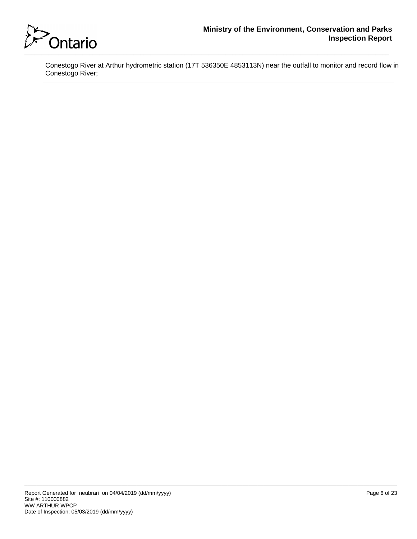

Conestogo River at Arthur hydrometric station (17T 536350E 4853113N) near the outfall to monitor and record flow in Conestogo River;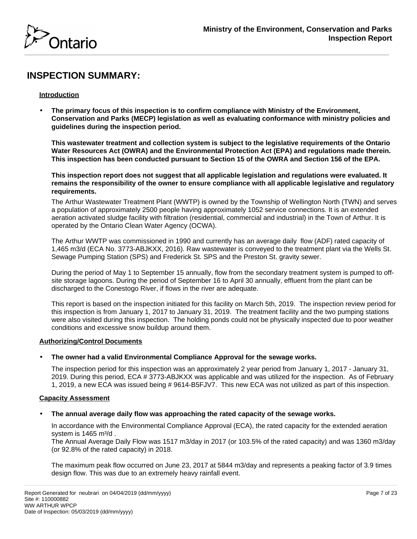

# **INSPECTION SUMMARY:**

# **Introduction**

• **The primary focus of this inspection is to confirm compliance with Ministry of the Environment, Conservation and Parks (MECP) legislation as well as evaluating conformance with ministry policies and guidelines during the inspection period.** 

**This wastewater treatment and collection system is subject to the legislative requirements of the Ontario Water Resources Act (OWRA) and the Environmental Protection Act (EPA) and regulations made therein. This inspection has been conducted pursuant to Section 15 of the OWRA and Section 156 of the EPA.**

**This inspection report does not suggest that all applicable legislation and regulations were evaluated. It remains the responsibility of the owner to ensure compliance with all applicable legislative and regulatory requirements.**

The Arthur Wastewater Treatment Plant (WWTP) is owned by the Township of Wellington North (TWN) and serves a population of approximately 2500 people having approximately 1052 service connections. It is an extended aeration activated sludge facility with filtration (residential, commercial and industrial) in the Town of Arthur. It is operated by the Ontario Clean Water Agency (OCWA).

The Arthur WWTP was commissioned in 1990 and currently has an average daily flow (ADF) rated capacity of 1,465 m3/d (ECA No. 3773-ABJKXX, 2016). Raw wastewater is conveyed to the treatment plant via the Wells St. Sewage Pumping Station (SPS) and Frederick St. SPS and the Preston St. gravity sewer.

During the period of May 1 to September 15 annually, flow from the secondary treatment system is pumped to offsite storage lagoons. During the period of September 16 to April 30 annually, effluent from the plant can be discharged to the Conestogo River, if flows in the river are adequate.

This report is based on the inspection initiated for this facility on March 5th, 2019. The inspection review period for this inspection is from January 1, 2017 to January 31, 2019. The treatment facility and the two pumping stations were also visited during this inspection. The holding ponds could not be physically inspected due to poor weather conditions and excessive snow buildup around them.

# **Authorizing/Control Documents**

# • **The owner had a valid Environmental Compliance Approval for the sewage works.**

The inspection period for this inspection was an approximately 2 year period from January 1, 2017 - January 31, 2019. During this period, ECA # 3773-ABJKXX was applicable and was utilized for the inspection. As of February 1, 2019, a new ECA was issued being # 9614-B5FJV7. This new ECA was not utilized as part of this inspection.

# **Capacity Assessment**

# • **The annual average daily flow was approaching the rated capacity of the sewage works.**

In accordance with the Environmental Compliance Approval (ECA), the rated capacity for the extended aeration system is  $1465$  m $\frac{3}{d}$ .

The Annual Average Daily Flow was 1517 m3/day in 2017 (or 103.5% of the rated capacity) and was 1360 m3/day (or 92.8% of the rated capacity) in 2018.

The maximum peak flow occurred on June 23, 2017 at 5844 m3/day and represents a peaking factor of 3.9 times design flow. This was due to an extremely heavy rainfall event.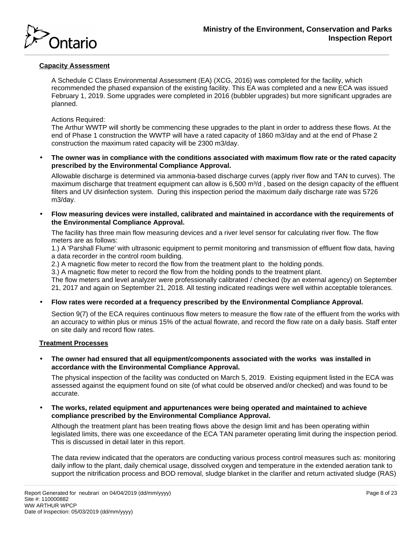

# **Capacity Assessment**

A Schedule C Class Environmental Assessment (EA) (XCG, 2016) was completed for the facility, which recommended the phased expansion of the existing facility. This EA was completed and a new ECA was issued February 1, 2019. Some upgrades were completed in 2016 (bubbler upgrades) but more significant upgrades are planned.

#### Actions Required:

The Arthur WWTP will shortly be commencing these upgrades to the plant in order to address these flows. At the end of Phase 1 construction the WWTP will have a rated capacity of 1860 m3/day and at the end of Phase 2 construction the maximum rated capacity will be 2300 m3/day.

• **The owner was in compliance with the conditions associated with maximum flow rate or the rated capacity prescribed by the Environmental Compliance Approval.**

Allowable discharge is determined via ammonia-based discharge curves (apply river flow and TAN to curves). The maximum discharge that treatment equipment can allow is  $6,500$  m $\frac{3}{d}$ , based on the design capacity of the effluent filters and UV disinfection system. During this inspection period the maximum daily discharge rate was 5726 m3/day.

• **Flow measuring devices were installed, calibrated and maintained in accordance with the requirements of the Environmental Compliance Approval.**

The facility has three main flow measuring devices and a river level sensor for calculating river flow. The flow meters are as follows:

1.) A 'Parshall Flume' with ultrasonic equipment to permit monitoring and transmission of effluent flow data, having a data recorder in the control room building.

2.) A magnetic flow meter to record the flow from the treatment plant to the holding ponds.

3.) A magnetic flow meter to record the flow from the holding ponds to the treatment plant.

The flow meters and level analyzer were professionally calibrated / checked (by an external agency) on September 21, 2017 and again on September 21, 2018. All testing indicated readings were well within acceptable tolerances.

• **Flow rates were recorded at a frequency prescribed by the Environmental Compliance Approval.**

Section 9(7) of the ECA requires continuous flow meters to measure the flow rate of the effluent from the works with an accuracy to within plus or minus 15% of the actual flowrate, and record the flow rate on a daily basis. Staff enter on site daily and record flow rates.

#### **Treatment Processes**

• **The owner had ensured that all equipment/components associated with the works was installed in accordance with the Environmental Compliance Approval.**

The physical inspection of the facility was conducted on March 5, 2019. Existing equipment listed in the ECA was assessed against the equipment found on site (of what could be observed and/or checked) and was found to be accurate.

• **The works, related equipment and appurtenances were being operated and maintained to achieve compliance prescribed by the Environmental Compliance Approval.**

Although the treatment plant has been treating flows above the design limit and has been operating within legislated limits, there was one exceedance of the ECA TAN parameter operating limit during the inspection period. This is discussed in detail later in this report.

The data review indicated that the operators are conducting various process control measures such as: monitoring daily inflow to the plant, daily chemical usage, dissolved oxygen and temperature in the extended aeration tank to support the nitrification process and BOD removal, sludge blanket in the clarifier and return activated sludge (RAS)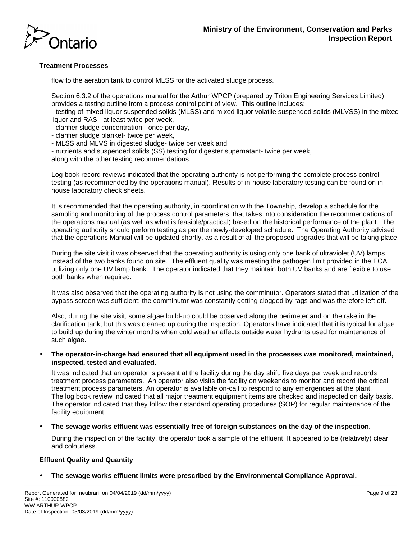

# **Treatment Processes**

flow to the aeration tank to control MLSS for the activated sludge process.

Section 6.3.2 of the operations manual for the Arthur WPCP (prepared by Triton Engineering Services Limited) provides a testing outline from a process control point of view. This outline includes:

- testing of mixed liquor suspended solids (MLSS) and mixed liquor volatile suspended solids (MLVSS) in the mixed liquor and RAS - at least twice per week,

- clarifier sludge concentration - once per day,

- clarifier sludge blanket- twice per week,
- MLSS and MLVS in digested sludge- twice per week and
- nutrients and suspended solids (SS) testing for digester supernatant- twice per week,

along with the other testing recommendations.

Log book record reviews indicated that the operating authority is not performing the complete process control testing (as recommended by the operations manual). Results of in-house laboratory testing can be found on inhouse laboratory check sheets.

It is recommended that the operating authority, in coordination with the Township, develop a schedule for the sampling and monitoring of the process control parameters, that takes into consideration the recommendations of the operations manual (as well as what is feasible/practical) based on the historical performance of the plant. The operating authority should perform testing as per the newly-developed schedule. The Operating Authority advised that the operations Manual will be updated shortly, as a result of all the proposed upgrades that will be taking place.

During the site visit it was observed that the operating authority is using only one bank of ultraviolet (UV) lamps instead of the two banks found on site. The effluent quality was meeting the pathogen limit provided in the ECA utilizing only one UV lamp bank. The operator indicated that they maintain both UV banks and are flexible to use both banks when required.

It was also observed that the operating authority is not using the comminutor. Operators stated that utilization of the bypass screen was sufficient; the comminutor was constantly getting clogged by rags and was therefore left off.

Also, during the site visit, some algae build-up could be observed along the perimeter and on the rake in the clarification tank, but this was cleaned up during the inspection. Operators have indicated that it is typical for algae to build up during the winter months when cold weather affects outside water hydrants used for maintenance of such algae.

• **The operator-in-charge had ensured that all equipment used in the processes was monitored, maintained, inspected, tested and evaluated.**

It was indicated that an operator is present at the facility during the day shift, five days per week and records treatment process parameters. An operator also visits the facility on weekends to monitor and record the critical treatment process parameters. An operator is available on-call to respond to any emergencies at the plant. The log book review indicated that all major treatment equipment items are checked and inspected on daily basis. The operator indicated that they follow their standard operating procedures (SOP) for regular maintenance of the facility equipment.

• **The sewage works effluent was essentially free of foreign substances on the day of the inspection.**

During the inspection of the facility, the operator took a sample of the effluent. It appeared to be (relatively) clear and colourless.

# **Effluent Quality and Quantity**

• **The sewage works effluent limits were prescribed by the Environmental Compliance Approval.**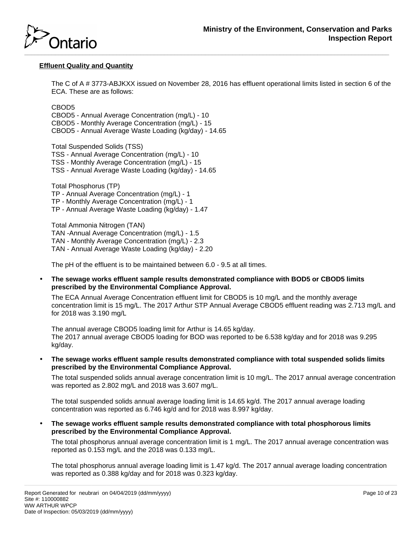

# **Effluent Quality and Quantity**

The C of A # 3773-ABJKXX issued on November 28, 2016 has effluent operational limits listed in section 6 of the ECA. These are as follows:

CBOD5

CBOD5 - Annual Average Concentration (mg/L) - 10 CBOD5 - Monthly Average Concentration (mg/L) - 15 CBOD5 - Annual Average Waste Loading (kg/day) - 14.65

Total Suspended Solids (TSS) TSS - Annual Average Concentration (mg/L) - 10 TSS - Monthly Average Concentration (mg/L) - 15 TSS - Annual Average Waste Loading (kg/day) - 14.65

Total Phosphorus (TP) TP - Annual Average Concentration (mg/L) - 1 TP - Monthly Average Concentration (mg/L) - 1 TP - Annual Average Waste Loading (kg/day) - 1.47

Total Ammonia Nitrogen (TAN) TAN -Annual Average Concentration (mg/L) - 1.5 TAN - Monthly Average Concentration (mg/L) - 2.3 TAN - Annual Average Waste Loading (kg/day) - 2.20

The pH of the effluent is to be maintained between 6.0 - 9.5 at all times.

• **The sewage works effluent sample results demonstrated compliance with BOD5 or CBOD5 limits prescribed by the Environmental Compliance Approval.**

The ECA Annual Average Concentration effluent limit for CBOD5 is 10 mg/L and the monthly average concentration limit is 15 mg/L. The 2017 Arthur STP Annual Average CBOD5 effluent reading was 2.713 mg/L and for 2018 was 3.190 mg/L

The annual average CBOD5 loading limit for Arthur is 14.65 kg/day. The 2017 annual average CBOD5 loading for BOD was reported to be 6.538 kg/day and for 2018 was 9.295 kg/day.

• **The sewage works effluent sample results demonstrated compliance with total suspended solids limits prescribed by the Environmental Compliance Approval.**

The total suspended solids annual average concentration limit is 10 mg/L. The 2017 annual average concentration was reported as 2.802 mg/L and 2018 was 3.607 mg/L.

The total suspended solids annual average loading limit is 14.65 kg/d. The 2017 annual average loading concentration was reported as 6.746 kg/d and for 2018 was 8.997 kg/day.

• **The sewage works effluent sample results demonstrated compliance with total phosphorous limits prescribed by the Environmental Compliance Approval.**

The total phosphorus annual average concentration limit is 1 mg/L. The 2017 annual average concentration was reported as 0.153 mg/L and the 2018 was 0.133 mg/L.

The total phosphorus annual average loading limit is 1.47 kg/d. The 2017 annual average loading concentration was reported as 0.388 kg/day and for 2018 was 0.323 kg/day.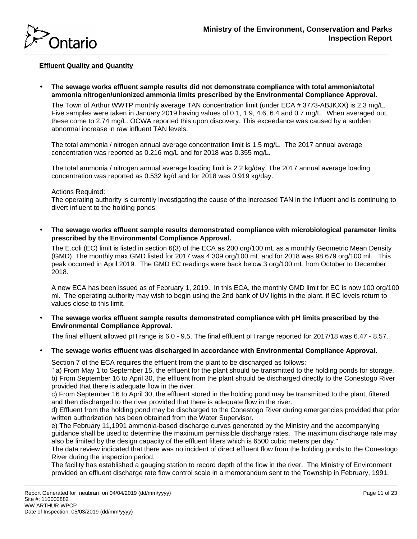

# **Effluent Quality and Quantity**

• **The sewage works effluent sample results did not demonstrate compliance with total ammonia/total ammonia nitrogen/unionized ammonia limits prescribed by the Environmental Compliance Approval.**

The Town of Arthur WWTP monthly average TAN concentration limit (under ECA # 3773-ABJKXX) is 2.3 mg/L. Five samples were taken in January 2019 having values of 0.1, 1.9, 4.6, 6.4 and 0.7 mg/L. When averaged out, these come to 2.74 mg/L. OCWA reported this upon discovery. This exceedance was caused by a sudden abnormal increase in raw influent TAN levels.

The total ammonia / nitrogen annual average concentration limit is 1.5 mg/L. The 2017 annual average concentration was reported as 0.216 mg/L and for 2018 was 0.355 mg/L.

The total ammonia / nitrogen annual average loading limit is 2.2 kg/day. The 2017 annual average loading concentration was reported as 0.532 kg/d and for 2018 was 0.919 kg/day.

#### Actions Required:

The operating authority is currently investigating the cause of the increased TAN in the influent and is continuing to divert influent to the holding ponds.

• **The sewage works effluent sample results demonstrated compliance with microbiological parameter limits prescribed by the Environmental Compliance Approval.**

The E.coli (EC) limit is listed in section 6(3) of the ECA as 200 org/100 mL as a monthly Geometric Mean Density (GMD). The monthly max GMD listed for 2017 was 4.309 org/100 mL and for 2018 was 98.679 org/100 ml. This peak occurred in April 2019. The GMD EC readings were back below 3 org/100 mL from October to December 2018.

A new ECA has been issued as of February 1, 2019. In this ECA, the monthly GMD limit for EC is now 100 org/100 ml. The operating authority may wish to begin using the 2nd bank of UV lights in the plant, if EC levels return to values close to this limit.

• **The sewage works effluent sample results demonstrated compliance with pH limits prescribed by the Environmental Compliance Approval.**

The final effluent allowed pH range is 6.0 - 9.5. The final effluent pH range reported for 2017/18 was 6.47 - 8.57.

• **The sewage works effluent was discharged in accordance with Environmental Compliance Approval.**

Section 7 of the ECA requires the effluent from the plant to be discharged as follows:

" a) From May 1 to September 15, the effluent for the plant should be transmitted to the holding ponds for storage. b) From September 16 to April 30, the effluent from the plant should be discharged directly to the Conestogo River provided that there is adequate flow in the river.

c) From September 16 to April 30, the effluent stored in the holding pond may be transmitted to the plant, filtered and then discharged to the river provided that there is adequate flow in the river.

d) Effluent from the holding pond may be discharged to the Conestogo River during emergencies provided that prior written authorization has been obtained from the Water Supervisor.

e) The February 11,1991 ammonia-based discharge curves generated by the Ministry and the accompanying guidance shall be used to determine the maximum permissible discharge rates. The maximum discharge rate may also be limited by the design capacity of the effluent filters which is 6500 cubic meters per day."

The data review indicated that there was no incident of direct effluent flow from the holding ponds to the Conestogo River during the inspection period.

The facility has established a gauging station to record depth of the flow in the river. The Ministry of Environment provided an effluent discharge rate flow control scale in a memorandum sent to the Township in February, 1991.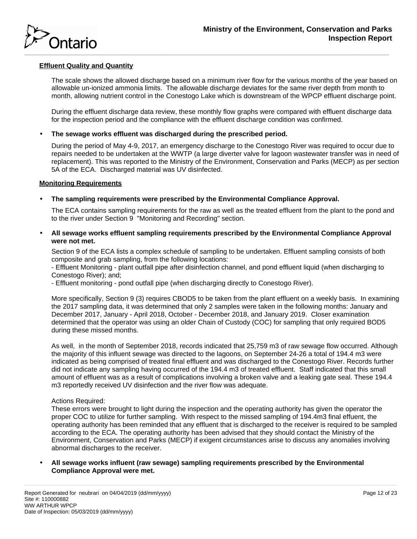

# **Effluent Quality and Quantity**

The scale shows the allowed discharge based on a minimum river flow for the various months of the year based on allowable un-ionized ammonia limits. The allowable discharge deviates for the same river depth from month to month, allowing nutrient control in the Conestogo Lake which is downstream of the WPCP effluent discharge point.

During the effluent discharge data review, these monthly flow graphs were compared with effluent discharge data for the inspection period and the compliance with the effluent discharge condition was confirmed.

# • **The sewage works effluent was discharged during the prescribed period.**

During the period of May 4-9, 2017, an emergency discharge to the Conestogo River was required to occur due to repairs needed to be undertaken at the WWTP (a large diverter valve for lagoon wastewater transfer was in need of replacement). This was reported to the Ministry of the Environment, Conservation and Parks (MECP) as per section 5A of the ECA. Discharged material was UV disinfected.

#### **Monitoring Requirements**

# • **The sampling requirements were prescribed by the Environmental Compliance Approval.**

The ECA contains sampling requirements for the raw as well as the treated effluent from the plant to the pond and to the river under Section 9 "Monitoring and Recording" section.

• **All sewage works effluent sampling requirements prescribed by the Environmental Compliance Approval were not met.**

Section 9 of the ECA lists a complex schedule of sampling to be undertaken. Effluent sampling consists of both composite and grab sampling, from the following locations:

- Effluent Monitoring - plant outfall pipe after disinfection channel, and pond effluent liquid (when discharging to Conestogo River); and;

- Effluent monitoring - pond outfall pipe (when discharging directly to Conestogo River).

More specifically, Section 9 (3) requires CBOD5 to be taken from the plant effluent on a weekly basis. In examining the 2017 sampling data, it was determined that only 2 samples were taken in the following months: January and December 2017, January - April 2018, October - December 2018, and January 2019. Closer examination determined that the operator was using an older Chain of Custody (COC) for sampling that only required BOD5 during these missed months.

As well, in the month of September 2018, records indicated that 25,759 m3 of raw sewage flow occurred. Although the majority of this influent sewage was directed to the lagoons, on September 24-26 a total of 194.4 m3 were indicated as being comprised of treated final effluent and was discharged to the Conestogo River. Records further did not indicate any sampling having occurred of the 194.4 m3 of treated effluent. Staff indicated that this small amount of effluent was as a result of complications involving a broken valve and a leaking gate seal. These 194.4 m3 reportedly received UV disinfection and the river flow was adequate.

#### Actions Required:

These errors were brought to light during the inspection and the operating authority has given the operator the proper COC to utilize for further sampling. With respect to the missed sampling of 194.4m3 final effuent, the operating authority has been reminded that any effluent that is discharged to the receiver is required to be sampled according to the ECA. The operating authority has been advised that they should contact the Ministry of the Environment, Conservation and Parks (MECP) if exigent circumstances arise to discuss any anomalies involving abnormal discharges to the receiver.

• **All sewage works influent (raw sewage) sampling requirements prescribed by the Environmental Compliance Approval were met.**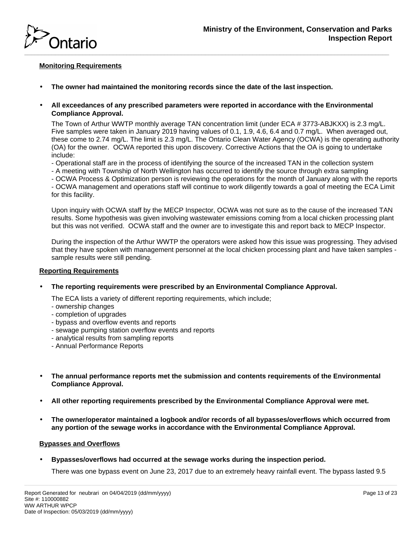

# **Monitoring Requirements**

- **The owner had maintained the monitoring records since the date of the last inspection.**
- **All exceedances of any prescribed parameters were reported in accordance with the Environmental Compliance Approval.**

The Town of Arthur WWTP monthly average TAN concentration limit (under ECA # 3773-ABJKXX) is 2.3 mg/L. Five samples were taken in January 2019 having values of 0.1, 1.9, 4.6, 6.4 and 0.7 mg/L. When averaged out, these come to 2.74 mg/L. The limit is 2.3 mg/L. The Ontario Clean Water Agency (OCWA) is the operating authority (OA) for the owner. OCWA reported this upon discovery. Corrective Actions that the OA is going to undertake include:

- Operational staff are in the process of identifying the source of the increased TAN in the collection system
- A meeting with Township of North Wellington has occurred to identify the source through extra sampling
- OCWA Process & Optimization person is reviewing the operations for the month of January along with the reports

- OCWA management and operations staff will continue to work diligently towards a goal of meeting the ECA Limit for this facility.

Upon inquiry with OCWA staff by the MECP Inspector, OCWA was not sure as to the cause of the increased TAN results. Some hypothesis was given involving wastewater emissions coming from a local chicken processing plant but this was not verified. OCWA staff and the owner are to investigate this and report back to MECP Inspector.

During the inspection of the Arthur WWTP the operators were asked how this issue was progressing. They advised that they have spoken with management personnel at the local chicken processing plant and have taken samples sample results were still pending.

# **Reporting Requirements**

• **The reporting requirements were prescribed by an Environmental Compliance Approval.**

The ECA lists a variety of different reporting requirements, which include;

- ownership changes
- completion of upgrades
- bypass and overflow events and reports
- sewage pumping station overflow events and reports
- analytical results from sampling reports
- Annual Performance Reports
- **The annual performance reports met the submission and contents requirements of the Environmental Compliance Approval.**
- **All other reporting requirements prescribed by the Environmental Compliance Approval were met.**
- **The owner/operator maintained a logbook and/or records of all bypasses/overflows which occurred from any portion of the sewage works in accordance with the Environmental Compliance Approval.**

#### **Bypasses and Overflows**

• **Bypasses/overflows had occurred at the sewage works during the inspection period.**

There was one bypass event on June 23, 2017 due to an extremely heavy rainfall event. The bypass lasted 9.5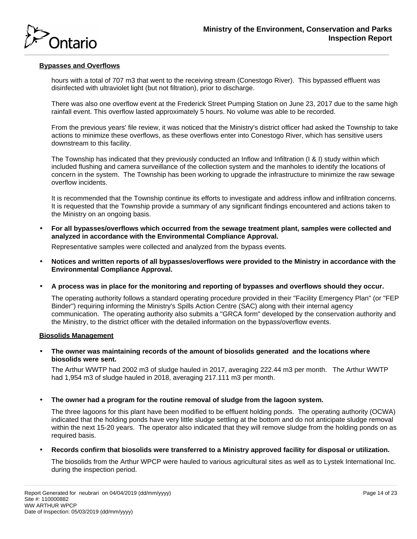

# **Bypasses and Overflows**

hours with a total of 707 m3 that went to the receiving stream (Conestogo River). This bypassed effluent was disinfected with ultraviolet light (but not filtration), prior to discharge.

There was also one overflow event at the Frederick Street Pumping Station on June 23, 2017 due to the same high rainfall event. This overflow lasted approximately 5 hours. No volume was able to be recorded.

From the previous years' file review, it was noticed that the Ministry's district officer had asked the Township to take actions to minimize these overflows, as these overflows enter into Conestogo River, which has sensitive users downstream to this facility.

The Township has indicated that they previously conducted an Inflow and Infiltration (I & I) study within which included flushing and camera surveillance of the collection system and the manholes to identify the locations of concern in the system. The Township has been working to upgrade the infrastructure to minimize the raw sewage overflow incidents.

It is recommended that the Township continue its efforts to investigate and address inflow and infiltration concerns. It is requested that the Township provide a summary of any significant findings encountered and actions taken to the Ministry on an ongoing basis.

• **For all bypasses/overflows which occurred from the sewage treatment plant, samples were collected and analyzed in accordance with the Environmental Compliance Approval.**

Representative samples were collected and analyzed from the bypass events.

- **Notices and written reports of all bypasses/overflows were provided to the Ministry in accordance with the Environmental Compliance Approval.**
- **A process was in place for the monitoring and reporting of bypasses and overflows should they occur.**

The operating authority follows a standard operating procedure provided in their "Facility Emergency Plan" (or "FEP Binder") requiring informing the Ministry's Spills Action Centre (SAC) along with their internal agency communication. The operating authority also submits a "GRCA form" developed by the conservation authority and the Ministry, to the district officer with the detailed information on the bypass/overflow events.

#### **Biosolids Management**

• **The owner was maintaining records of the amount of biosolids generated and the locations where biosolids were sent.**

The Arthur WWTP had 2002 m3 of sludge hauled in 2017, averaging 222.44 m3 per month. The Arthur WWTP had 1,954 m3 of sludge hauled in 2018, averaging 217.111 m3 per month.

• **The owner had a program for the routine removal of sludge from the lagoon system.**

The three lagoons for this plant have been modified to be effluent holding ponds. The operating authority (OCWA) indicated that the holding ponds have very little sludge settling at the bottom and do not anticipate sludge removal within the next 15-20 years. The operator also indicated that they will remove sludge from the holding ponds on as required basis.

• **Records confirm that biosolids were transferred to a Ministry approved facility for disposal or utilization.**

The biosolids from the Arthur WPCP were hauled to various agricultural sites as well as to Lystek International Inc. during the inspection period.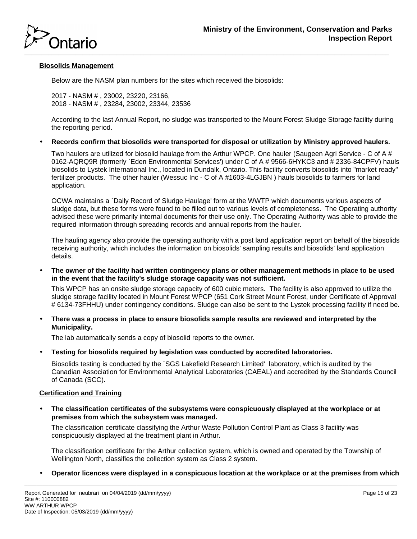

# **Biosolids Management**

Below are the NASM plan numbers for the sites which received the biosolids:

2017 - NASM # , 23002, 23220, 23166, 2018 - NASM # , 23284, 23002, 23344, 23536

According to the last Annual Report, no sludge was transported to the Mount Forest Sludge Storage facility during the reporting period.

• **Records confirm that biosolids were transported for disposal or utilization by Ministry approved haulers.**

Two haulers are utilized for biosolid haulage from the Arthur WPCP. One hauler (Saugeen Agri Service - C of A# 0162-AQRQ9R (formerly `Eden Environmental Services') under C of A # 9566-6HYKC3 and # 2336-84CPFV) hauls biosolids to Lystek International Inc., located in Dundalk, Ontario. This facility converts biosolids into "market ready" fertilizer products. The other hauler (Wessuc Inc - C of A #1603-4LGJBN ) hauls biosolids to farmers for land application.

OCWA maintains a `Daily Record of Sludge Haulage' form at the WWTP which documents various aspects of sludge data, but these forms were found to be filled out to various levels of completeness. The Operating authority advised these were primarily internal documents for their use only. The Operating Authority was able to provide the required information through spreading records and annual reports from the hauler.

The hauling agency also provide the operating authority with a post land application report on behalf of the biosolids receiving authority, which includes the information on biosolids' sampling results and biosolids' land application details.

• **The owner of the facility had written contingency plans or other management methods in place to be used in the event that the facility's sludge storage capacity was not sufficient.**

This WPCP has an onsite sludge storage capacity of 600 cubic meters. The facility is also approved to utilize the sludge storage facility located in Mount Forest WPCP (651 Cork Street Mount Forest, under Certificate of Approval # 6134-73FHHU) under contingency conditions. Sludge can also be sent to the Lystek processing facility if need be.

• **There was a process in place to ensure biosolids sample results are reviewed and interpreted by the Municipality.**

The lab automatically sends a copy of biosolid reports to the owner.

• **Testing for biosolids required by legislation was conducted by accredited laboratories.**

Biosolids testing is conducted by the `SGS Lakefield Research Limited' laboratory, which is audited by the Canadian Association for Environmental Analytical Laboratories (CAEAL) and accredited by the Standards Council of Canada (SCC).

# **Certification and Training**

• **The classification certificates of the subsystems were conspicuously displayed at the workplace or at premises from which the subsystem was managed.**

The classification certificate classifying the Arthur Waste Pollution Control Plant as Class 3 facility was conspicuously displayed at the treatment plant in Arthur.

The classification certificate for the Arthur collection system, which is owned and operated by the Township of Wellington North, classifies the collection system as Class 2 system.

• **Operator licences were displayed in a conspicuous location at the workplace or at the premises from which**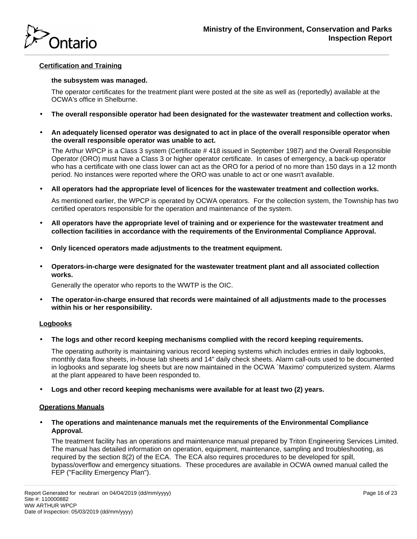

# **Certification and Training**

#### **the subsystem was managed.**

The operator certificates for the treatment plant were posted at the site as well as (reportedly) available at the OCWA's office in Shelburne.

- **The overall responsible operator had been designated for the wastewater treatment and collection works.**
- **An adequately licensed operator was designated to act in place of the overall responsible operator when the overall responsible operator was unable to act.**

The Arthur WPCP is a Class 3 system (Certificate # 418 issued in September 1987) and the Overall Responsible Operator (ORO) must have a Class 3 or higher operator certificate. In cases of emergency, a back-up operator who has a certificate with one class lower can act as the ORO for a period of no more than 150 days in a 12 month period. No instances were reported where the ORO was unable to act or one wasn't available.

• **All operators had the appropriate level of licences for the wastewater treatment and collection works.**

As mentioned earlier, the WPCP is operated by OCWA operators. For the collection system, the Township has two certified operators responsible for the operation and maintenance of the system.

- **All operators have the appropriate level of training and or experience for the wastewater treatment and collection facilities in accordance with the requirements of the Environmental Compliance Approval.**
- **Only licenced operators made adjustments to the treatment equipment.**
- **Operators-in-charge were designated for the wastewater treatment plant and all associated collection works.**

Generally the operator who reports to the WWTP is the OIC.

• **The operator-in-charge ensured that records were maintained of all adjustments made to the processes within his or her responsibility.**

# **Logbooks**

• **The logs and other record keeping mechanisms complied with the record keeping requirements.**

The operating authority is maintaining various record keeping systems which includes entries in daily logbooks, monthly data flow sheets, in-house lab sheets and 14" daily check sheets. Alarm call-outs used to be documented in logbooks and separate log sheets but are now maintained in the OCWA `Maximo' computerized system. Alarms at the plant appeared to have been responded to.

• **Logs and other record keeping mechanisms were available for at least two (2) years.**

# **Operations Manuals**

• **The operations and maintenance manuals met the requirements of the Environmental Compliance Approval.**

The treatment facility has an operations and maintenance manual prepared by Triton Engineering Services Limited. The manual has detailed information on operation, equipment, maintenance, sampling and troubleshooting, as required by the section 8(2) of the ECA. The ECA also requires procedures to be developed for spill, bypass/overflow and emergency situations. These procedures are available in OCWA owned manual called the FEP ("Facility Emergency Plan").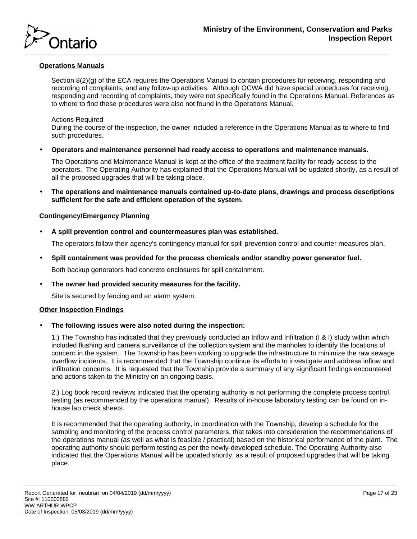

# **Operations Manuals**

Section 8(2)(g) of the ECA requires the Operations Manual to contain procedures for receiving, responding and recording of complaints, and any follow-up activities. Although OCWA did have special procedures for receiving, responding and recording of complaints, they were not specifically found in the Operations Manual. References as to where to find these procedures were also not found in the Operations Manual.

# Actions Required

During the course of the inspection, the owner included a reference in the Operations Manual as to where to find such procedures.

• **Operators and maintenance personnel had ready access to operations and maintenance manuals.**

The Operations and Maintenance Manual is kept at the office of the treatment facility for ready access to the operators. The Operating Authority has explained that the Operations Manual will be updated shortly, as a result of all the proposed upgrades that will be taking place.

• **The operations and maintenance manuals contained up-to-date plans, drawings and process descriptions sufficient for the safe and efficient operation of the system.**

# **Contingency/Emergency Planning**

• **A spill prevention control and countermeasures plan was established.**

The operators follow their agency's contingency manual for spill prevention control and counter measures plan.

• **Spill containment was provided for the process chemicals and/or standby power generator fuel.**

Both backup generators had concrete enclosures for spill containment.

• **The owner had provided security measures for the facility.**

Site is secured by fencing and an alarm system.

# **Other Inspection Findings**

• **The following issues were also noted during the inspection:**

1.) The Township has indicated that they previously conducted an Inflow and Infiltration (I & I) study within which included flushing and camera surveillance of the collection system and the manholes to identify the locations of concern in the system. The Township has been working to upgrade the infrastructure to minimize the raw sewage overflow incidents. It is recommended that the Township continue its efforts to investigate and address inflow and infiltration concerns. It is requested that the Township provide a summary of any significant findings encountered and actions taken to the Ministry on an ongoing basis.

2.) Log book record reviews indicated that the operating authority is not performing the complete process control testing (as recommended by the operations manual). Results of in-house laboratory testing can be found on inhouse lab check sheets.

It is recommended that the operating authority, in coordination with the Township, develop a schedule for the sampling and monitoring of the process control parameters, that takes into consideration the recommendations of the operations manual (as well as what is feasible / practical) based on the historical performance of the plant. The operating authority should perform testing as per the newly-developed schedule. The Operating Authority also indicated that the Operations Manual will be updated shortly, as a result of proposed upgrades that will be taking place.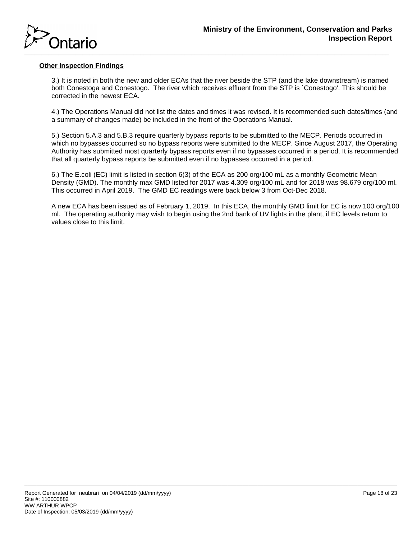

# **Other Inspection Findings**

3.) It is noted in both the new and older ECAs that the river beside the STP (and the lake downstream) is named both Conestoga and Conestogo. The river which receives effluent from the STP is `Conestogo'. This should be corrected in the newest ECA.

4.) The Operations Manual did not list the dates and times it was revised. It is recommended such dates/times (and a summary of changes made) be included in the front of the Operations Manual.

5.) Section 5.A.3 and 5.B.3 require quarterly bypass reports to be submitted to the MECP. Periods occurred in which no bypasses occurred so no bypass reports were submitted to the MECP. Since August 2017, the Operating Authority has submitted most quarterly bypass reports even if no bypasses occurred in a period. It is recommended that all quarterly bypass reports be submitted even if no bypasses occurred in a period.

6.) The E.coli (EC) limit is listed in section 6(3) of the ECA as 200 org/100 mL as a monthly Geometric Mean Density (GMD). The monthly max GMD listed for 2017 was 4.309 org/100 mL and for 2018 was 98.679 org/100 ml. This occurred in April 2019. The GMD EC readings were back below 3 from Oct-Dec 2018.

A new ECA has been issued as of February 1, 2019. In this ECA, the monthly GMD limit for EC is now 100 org/100 ml. The operating authority may wish to begin using the 2nd bank of UV lights in the plant, if EC levels return to values close to this limit.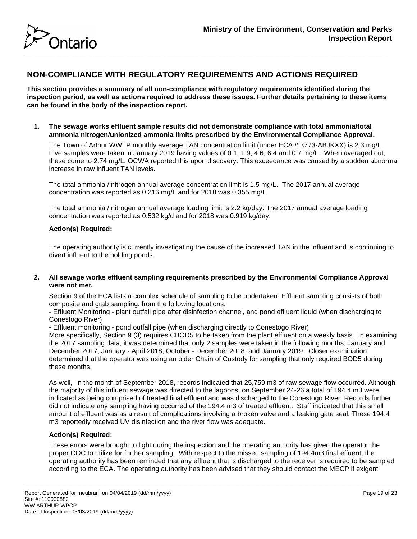

# **NON-COMPLIANCE WITH REGULATORY REQUIREMENTS AND ACTIONS REQUIRED**

**This section provides a summary of all non-compliance with regulatory requirements identified during the inspection period, as well as actions required to address these issues. Further details pertaining to these items can be found in the body of the inspection report.**

**1. The sewage works effluent sample results did not demonstrate compliance with total ammonia/total ammonia nitrogen/unionized ammonia limits prescribed by the Environmental Compliance Approval.**

The Town of Arthur WWTP monthly average TAN concentration limit (under ECA # 3773-ABJKXX) is 2.3 mg/L. Five samples were taken in January 2019 having values of 0.1, 1.9, 4.6, 6.4 and 0.7 mg/L. When averaged out, these come to 2.74 mg/L. OCWA reported this upon discovery. This exceedance was caused by a sudden abnormal increase in raw influent TAN levels.

The total ammonia / nitrogen annual average concentration limit is 1.5 mg/L. The 2017 annual average concentration was reported as 0.216 mg/L and for 2018 was 0.355 mg/L.

The total ammonia / nitrogen annual average loading limit is 2.2 kg/day. The 2017 annual average loading concentration was reported as 0.532 kg/d and for 2018 was 0.919 kg/day.

# **Action(s) Required:**

The operating authority is currently investigating the cause of the increased TAN in the influent and is continuing to divert influent to the holding ponds.

# **2. All sewage works effluent sampling requirements prescribed by the Environmental Compliance Approval were not met.**

Section 9 of the ECA lists a complex schedule of sampling to be undertaken. Effluent sampling consists of both composite and grab sampling, from the following locations;

- Effluent Monitoring - plant outfall pipe after disinfection channel, and pond effluent liquid (when discharging to Conestogo River)

- Effluent monitoring - pond outfall pipe (when discharging directly to Conestogo River)

More specifically, Section 9 (3) requires CBOD5 to be taken from the plant effluent on a weekly basis. In examining the 2017 sampling data, it was determined that only 2 samples were taken in the following months; January and December 2017, January - April 2018, October - December 2018, and January 2019. Closer examination determined that the operator was using an older Chain of Custody for sampling that only required BOD5 during these months.

As well, in the month of September 2018, records indicated that 25,759 m3 of raw sewage flow occurred. Although the majority of this influent sewage was directed to the lagoons, on September 24-26 a total of 194.4 m3 were indicated as being comprised of treated final effluent and was discharged to the Conestogo River. Records further did not indicate any sampling having occurred of the 194.4 m3 of treated effluent. Staff indicated that this small amount of effluent was as a result of complications involving a broken valve and a leaking gate seal. These 194.4 m3 reportedly received UV disinfection and the river flow was adequate.

# **Action(s) Required:**

These errors were brought to light during the inspection and the operating authority has given the operator the proper COC to utilize for further sampling. With respect to the missed sampling of 194.4m3 final effuent, the operating authority has been reminded that any effluent that is discharged to the receiver is required to be sampled according to the ECA. The operating authority has been advised that they should contact the MECP if exigent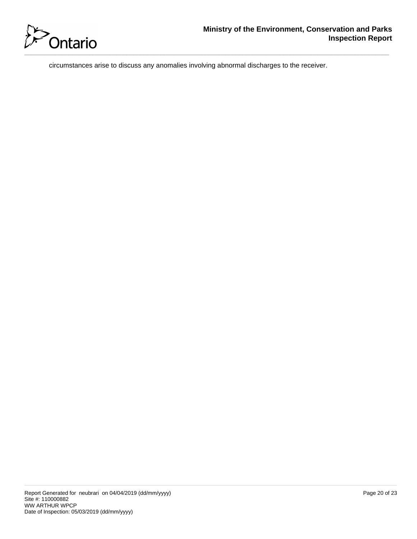

circumstances arise to discuss any anomalies involving abnormal discharges to the receiver.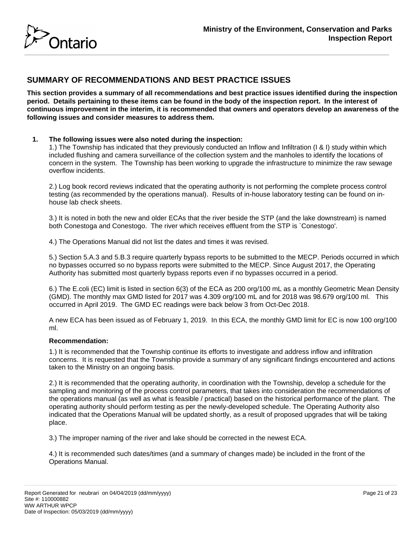

# **SUMMARY OF RECOMMENDATIONS AND BEST PRACTICE ISSUES**

**This section provides a summary of all recommendations and best practice issues identified during the inspection period. Details pertaining to these items can be found in the body of the inspection report. In the interest of continuous improvement in the interim, it is recommended that owners and operators develop an awareness of the following issues and consider measures to address them.**

# **1. The following issues were also noted during the inspection:**

1.) The Township has indicated that they previously conducted an Inflow and Infiltration (I & I) study within which included flushing and camera surveillance of the collection system and the manholes to identify the locations of concern in the system. The Township has been working to upgrade the infrastructure to minimize the raw sewage overflow incidents.

2.) Log book record reviews indicated that the operating authority is not performing the complete process control testing (as recommended by the operations manual). Results of in-house laboratory testing can be found on inhouse lab check sheets.

3.) It is noted in both the new and older ECAs that the river beside the STP (and the lake downstream) is named both Conestoga and Conestogo. The river which receives effluent from the STP is `Conestogo'.

4.) The Operations Manual did not list the dates and times it was revised.

5.) Section 5.A.3 and 5.B.3 require quarterly bypass reports to be submitted to the MECP. Periods occurred in which no bypasses occurred so no bypass reports were submitted to the MECP. Since August 2017, the Operating Authority has submitted most quarterly bypass reports even if no bypasses occurred in a period.

6.) The E.coli (EC) limit is listed in section 6(3) of the ECA as 200 org/100 mL as a monthly Geometric Mean Density (GMD). The monthly max GMD listed for 2017 was 4.309 org/100 mL and for 2018 was 98.679 org/100 ml. This occurred in April 2019. The GMD EC readings were back below 3 from Oct-Dec 2018.

A new ECA has been issued as of February 1, 2019. In this ECA, the monthly GMD limit for EC is now 100 org/100 ml.

# **Recommendation:**

1.) It is recommended that the Township continue its efforts to investigate and address inflow and infiltration concerns. It is requested that the Township provide a summary of any significant findings encountered and actions taken to the Ministry on an ongoing basis.

2.) It is recommended that the operating authority, in coordination with the Township, develop a schedule for the sampling and monitoring of the process control parameters, that takes into consideration the recommendations of the operations manual (as well as what is feasible / practical) based on the historical performance of the plant. The operating authority should perform testing as per the newly-developed schedule. The Operating Authority also indicated that the Operations Manual will be updated shortly, as a result of proposed upgrades that will be taking place.

3.) The improper naming of the river and lake should be corrected in the newest ECA.

4.) It is recommended such dates/times (and a summary of changes made) be included in the front of the Operations Manual.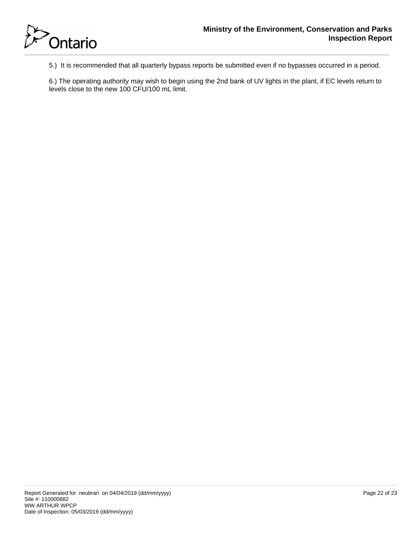

5.) It is recommended that all quarterly bypass reports be submitted even if no bypasses occurred in a period.

6.) The operating authority may wish to begin using the 2nd bank of UV lights in the plant, if EC levels return to levels close to the new 100 CFU/100 mL limit.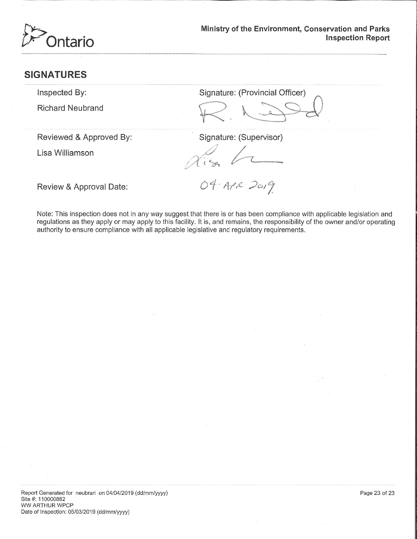

# **SIGNATURES**

Inspected By:

**Richard Neubrand** 

Signature: (Provincial Officer)

Reviewed & Approved By:

Lisa Williamson

Signature: (Supervisor)

Review & Approval Date:

04. APR 2019

Note: This inspection does not in any way suggest that there is or has been compliance with applicable legislation and regulations as they apply or may apply to this facility. It is, and remains, the responsibility of the owner and/or operating authority to ensure compliance with all applicable legislative and regulatory requirements.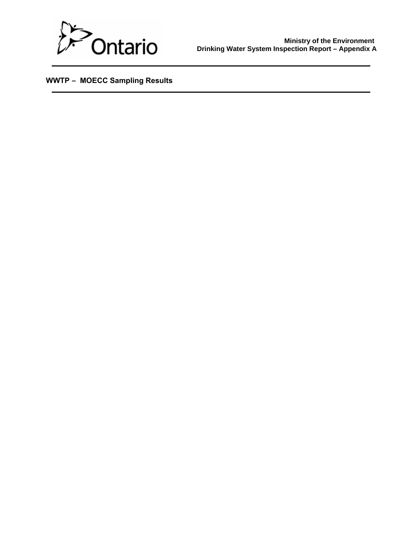

 **WWTP – MOECC Sampling Results**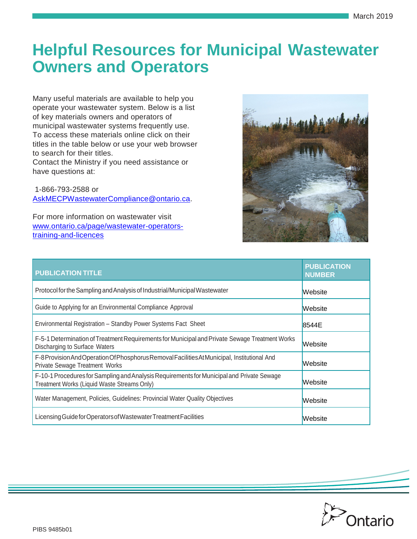# **Helpful Resources for Municipal Wastewater Owners and Operators**

Many useful materials are available to help you operate your wastewater system. Below is a list of key materials owners and operators of municipal wastewater systems frequently use. To access these materials online click on their titles in the table below or use your web browser to search for their titles.

Contact the Ministry if you need assistance or have questions at:

1-866-793-2588 or [AskMECPWastewaterCompliance@ontario.ca.](mailto:AskMECPWastewaterCompliance@ontario.ca)

For more information on wastewater visit [www.ontario.ca/page/wastewater-operators](http://www.ontario.ca/page/wastewater-operators-training-and-licences)[training-and-licences](http://www.ontario.ca/page/wastewater-operators-training-and-licences)



| <b>PUBLICATION TITLE</b>                                                                                                                 | <b>PUBLICATION</b><br><b>NUMBER</b> |
|------------------------------------------------------------------------------------------------------------------------------------------|-------------------------------------|
| Protocol for the Sampling and Analysis of Industrial/Municipal Wastewater                                                                | <b>Website</b>                      |
| Guide to Applying for an Environmental Compliance Approval                                                                               | Website                             |
| Environmental Registration - Standby Power Systems Fact Sheet                                                                            | 8544E                               |
| F-5-1 Determination of Treatment Requirements for Municipal and Private Sewage Treatment Works<br>Discharging to Surface Waters          | <b>Website</b>                      |
| F-8 Provision And Operation Of Phosphorus Removal Facilities At Municipal, Institutional And<br><b>Private Sewage Treatment Works</b>    | Website                             |
| F-10-1 Procedures for Sampling and Analysis Requirements for Municipal and Private Sewage<br>Treatment Works (Liquid Waste Streams Only) | <b>Website</b>                      |
| Water Management, Policies, Guidelines: Provincial Water Quality Objectives                                                              | Website                             |
| Licensing Guide for Operators of Wastewater Treatment Facilities                                                                         | Website                             |